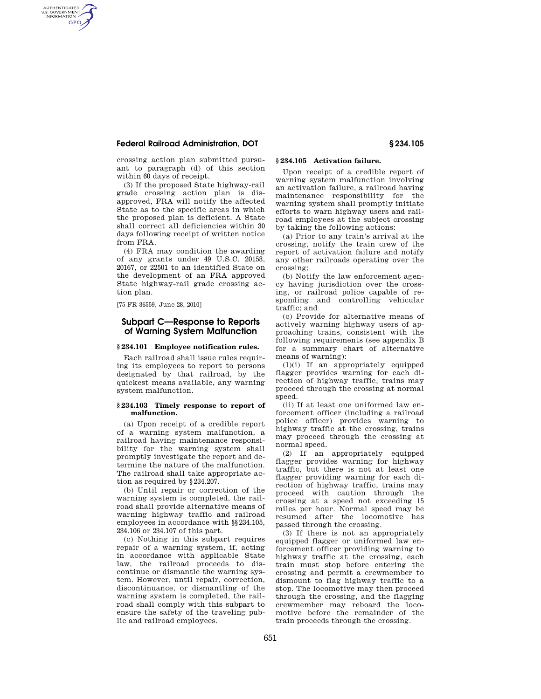## **Federal Railroad Administration, DOT § 234.105**

AUTHENTICATED<br>U.S. GOVERNMENT<br>INFORMATION **GPO** 

> crossing action plan submitted pursuant to paragraph (d) of this section within 60 days of receipt.

(3) If the proposed State highway-rail grade crossing action plan is disapproved, FRA will notify the affected State as to the specific areas in which the proposed plan is deficient. A State shall correct all deficiencies within 30 days following receipt of written notice from FRA.

(4) FRA may condition the awarding of any grants under 49 U.S.C. 20158, 20167, or 22501 to an identified State on the development of an FRA approved State highway-rail grade crossing action plan.

[75 FR 36559, June 28, 2010]

## **Subpart C—Response to Reports of Warning System Malfunction**

#### **§ 234.101 Employee notification rules.**

Each railroad shall issue rules requiring its employees to report to persons designated by that railroad, by the quickest means available, any warning system malfunction.

#### **§ 234.103 Timely response to report of malfunction.**

(a) Upon receipt of a credible report of a warning system malfunction, a railroad having maintenance responsibility for the warning system shall promptly investigate the report and determine the nature of the malfunction. The railroad shall take appropriate action as required by §234.207.

(b) Until repair or correction of the warning system is completed, the railroad shall provide alternative means of warning highway traffic and railroad employees in accordance with §§234.105, 234.106 or 234.107 of this part.

(c) Nothing in this subpart requires repair of a warning system, if, acting in accordance with applicable State law, the railroad proceeds to discontinue or dismantle the warning system. However, until repair, correction, discontinuance, or dismantling of the warning system is completed, the railroad shall comply with this subpart to ensure the safety of the traveling public and railroad employees.

# **§ 234.105 Activation failure.**

Upon receipt of a credible report of warning system malfunction involving an activation failure, a railroad having maintenance responsibility for the warning system shall promptly initiate efforts to warn highway users and railroad employees at the subject crossing by taking the following actions:

(a) Prior to any train's arrival at the crossing, notify the train crew of the report of activation failure and notify any other railroads operating over the crossing;

(b) Notify the law enforcement agency having jurisdiction over the crossing, or railroad police capable of responding and controlling vehicular traffic; and

(c) Provide for alternative means of actively warning highway users of approaching trains, consistent with the following requirements (see appendix B for a summary chart of alternative means of warning):

(1)(i) If an appropriately equipped flagger provides warning for each direction of highway traffic, trains may proceed through the crossing at normal speed.

(ii) If at least one uniformed law enforcement officer (including a railroad police officer) provides warning to highway traffic at the crossing, trains may proceed through the crossing at normal speed.

(2) If an appropriately equipped flagger provides warning for highway traffic, but there is not at least one flagger providing warning for each direction of highway traffic, trains may proceed with caution through the crossing at a speed not exceeding 15 miles per hour. Normal speed may be resumed after the locomotive has passed through the crossing.

(3) If there is not an appropriately equipped flagger or uniformed law enforcement officer providing warning to highway traffic at the crossing, each train must stop before entering the crossing and permit a crewmember to dismount to flag highway traffic to a stop. The locomotive may then proceed through the crossing, and the flagging crewmember may reboard the locomotive before the remainder of the train proceeds through the crossing.